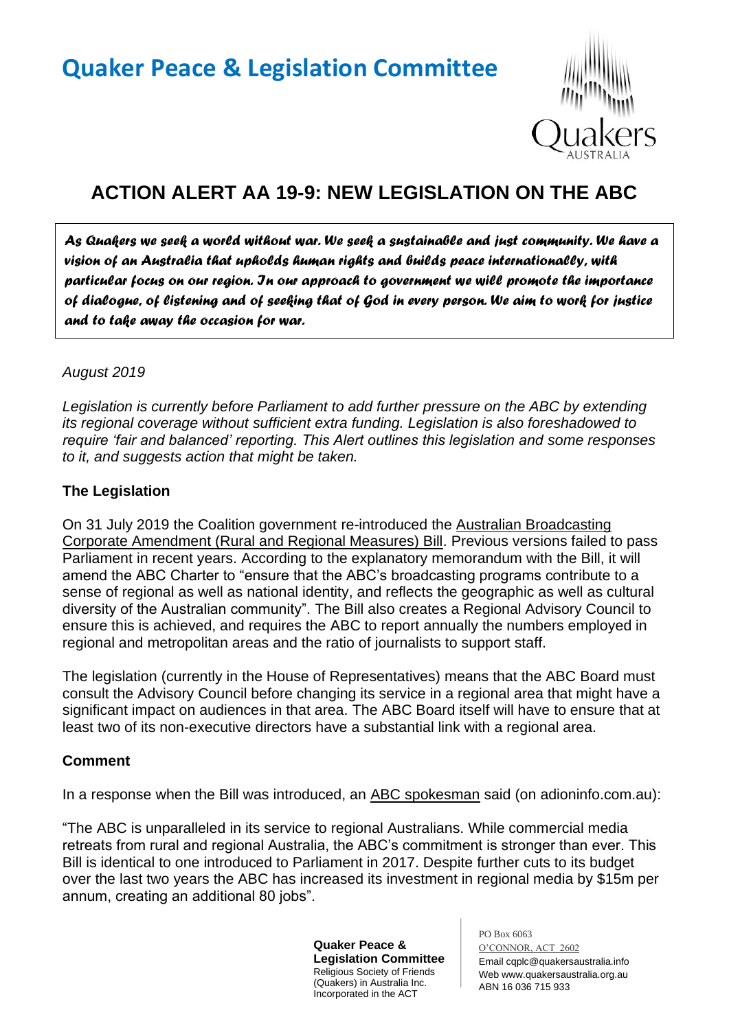# **Quaker Peace & Legislation Committee**



## **ACTION ALERT AA 19-9: NEW LEGISLATION ON THE ABC**

*As Quakers we seek a world without war. We seek a sustainable and just community. We have a vision of an Australia that upholds human rights and builds peace internationally, with particular focus on our region. In our approach to government we will promote the importance of dialogue, of listening and of seeking that of God in every person. We aim to work for justice and to take away the occasion for war.* 

#### *August 2019*

*Legislation is currently before Parliament to add further pressure on the ABC by extending its regional coverage without sufficient extra funding. Legislation is also foreshadowed to require 'fair and balanced' reporting. This Alert outlines this legislation and some responses to it, and suggests action that might be taken.*

#### **The Legislation**

On 31 July 2019 the Coalition government re-introduced the Australian Broadcasting Corporate Amendment (Rural and Regional Measures) Bill. Previous versions failed to pass Parliament in recent years. According to the explanatory memorandum with the Bill, it will amend the ABC Charter to "ensure that the ABC's broadcasting programs contribute to a sense of regional as well as national identity, and reflects the geographic as well as cultural diversity of the Australian community". The Bill also creates a Regional Advisory Council to ensure this is achieved, and requires the ABC to report annually the numbers employed in regional and metropolitan areas and the ratio of journalists to support staff.

The legislation (currently in the House of Representatives) means that the ABC Board must consult the Advisory Council before changing its service in a regional area that might have a significant impact on audiences in that area. The ABC Board itself will have to ensure that at least two of its non-executive directors have a substantial link with a regional area.

#### **Comment**

In a response when the Bill was introduced, an ABC spokesman said (on adioninfo.com.au):

"The ABC is unparalleled in its service to regional Australians. While commercial media retreats from rural and regional Australia, the ABC's commitment is stronger than ever. This Bill is identical to one introduced to Parliament in 2017. Despite further cuts to its budget over the last two years the ABC has increased its investment in regional media by \$15m per annum, creating an additional 80 jobs".

> **Quaker Peace & Legislation Committee** Religious Society of Friends (Quakers) in Australia Inc. Incorporated in the ACT

PO Box 6063 O'CONNOR, ACT 2602 Email cqplc@quakersaustralia.info Web www.quakersaustralia.org.au ABN 16 036 715 933